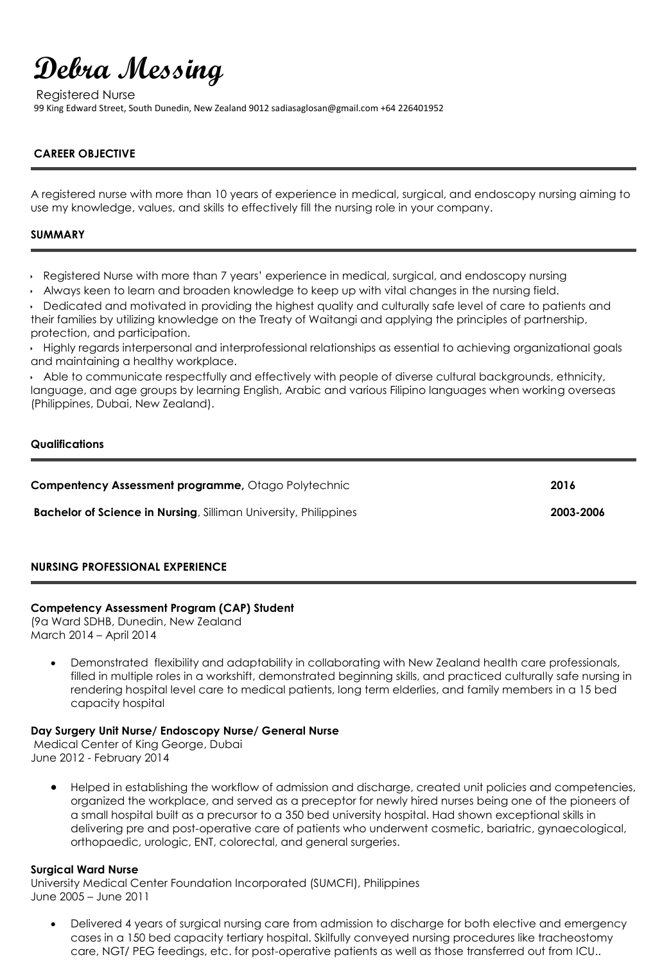# **Debra Messing**

Registered Nurse 99 King Edward Street, South Dunedin, New Zealand 9012 sadiasaglosan@gmail.com +64 226401952

# **CAREER OBJECTIVE**

A registered nurse with more than 10 years of experience in medical, surgical, and endoscopy nursing aiming to use my knowledge, values, and skills to effectively fill the nursing role in your company.

# **SUMMARY**

- Registered Nurse with more than 7 years' experience in medical, surgical, and endoscopy nursing
- Always keen to learn and broaden knowledge to keep up with vital changes in the nursing field.

Dedicated and motivated in providing the highest quality and culturally safe level of care to patients and their families by utilizing knowledge on the Treaty of Waitangi and applying the principles of partnership, protection, and participation.

Highly regards interpersonal and interprofessional relationships as essential to achieving organizational goals and maintaining a healthy workplace.

Able to communicate respectfully and effectively with people of diverse cultural backgrounds, ethnicity, language, and age groups by learning English, Arabic and various Filipino languages when working overseas (Philippines, Dubai, New Zealand).

#### **Qualifications**

| <b>Compentency Assessment programme, Otago Polytechnic</b>              | 2016      |
|-------------------------------------------------------------------------|-----------|
| <b>Bachelor of Science in Nursing, Silliman University, Philippines</b> | 2003-2006 |

# **NURSING PROFESSIONAL EXPERIENCE**

# **Competency Assessment Program (CAP) Student**

(9a Ward SDHB, Dunedin, New Zealand March 2014 – April 2014

 Demonstrated flexibility and adaptability in collaborating with New Zealand health care professionals, filled in multiple roles in a workshift, demonstrated beginning skills, and practiced culturally safe nursing in rendering hospital level care to medical patients, long term elderlies, and family members in a 15 bed capacity hospital

# **Day Surgery Unit Nurse/ Endoscopy Nurse/ General Nurse**

Medical Center of King George, Dubai June 2012 - February 2014

 Helped in establishing the workflow of admission and discharge, created unit policies and competencies, organized the workplace, and served as a preceptor for newly hired nurses being one of the pioneers of a small hospital built as a precursor to a 350 bed university hospital. Had shown exceptional skills in delivering pre and post-operative care of patients who underwent cosmetic, bariatric, gynaecological, orthopaedic, urologic, ENT, colorectal, and general surgeries.

# **Surgical Ward Nurse**

University Medical Center Foundation Incorporated (SUMCFI), Philippines June 2005 – June 2011

 Delivered 4 years of surgical nursing care from admission to discharge for both elective and emergency cases in a 150 bed capacity tertiary hospital. Skilfully conveyed nursing procedures like tracheostomy care, NGT/ PEG feedings, etc. for post-operative patients as well as those transferred out from ICU..